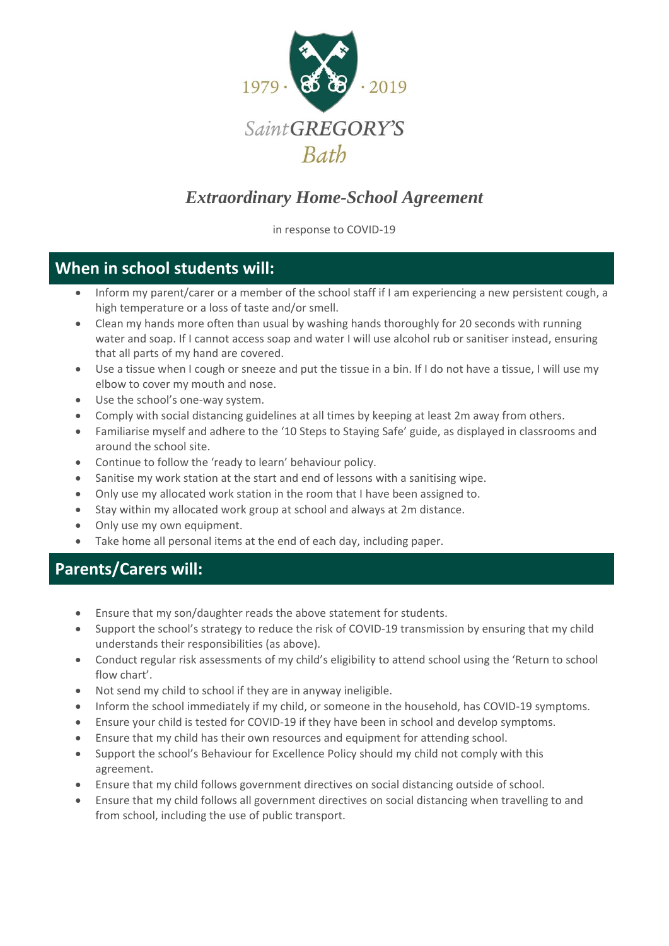

## *Extraordinary Home-School Agreement*

in response to COVID-19

## **When in school students will:**

- Inform my parent/carer or a member of the school staff if I am experiencing a new persistent cough, a high temperature or a loss of taste and/or smell.
- Clean my hands more often than usual by washing hands thoroughly for 20 seconds with running water and soap. If I cannot access soap and water I will use alcohol rub or sanitiser instead, ensuring that all parts of my hand are covered.
- Use a tissue when I cough or sneeze and put the tissue in a bin. If I do not have a tissue, I will use my elbow to cover my mouth and nose.
- Use the school's one-way system.
- Comply with social distancing guidelines at all times by keeping at least 2m away from others.
- Familiarise myself and adhere to the '10 Steps to Staying Safe' guide, as displayed in classrooms and around the school site.
- Continue to follow the 'ready to learn' behaviour policy.
- Sanitise my work station at the start and end of lessons with a sanitising wipe.
- Only use my allocated work station in the room that I have been assigned to.
- Stay within my allocated work group at school and always at 2m distance.
- Only use my own equipment.
- Take home all personal items at the end of each day, including paper.

## **Parents/Carers will:**

- Ensure that my son/daughter reads the above statement for students.
- Support the school's strategy to reduce the risk of COVID-19 transmission by ensuring that my child understands their responsibilities (as above).
- Conduct regular risk assessments of my child's eligibility to attend school using the 'Return to school flow chart'.
- Not send my child to school if they are in anyway ineligible.
- Inform the school immediately if my child, or someone in the household, has COVID-19 symptoms.
- Ensure your child is tested for COVID-19 if they have been in school and develop symptoms.
- Ensure that my child has their own resources and equipment for attending school.
- Support the school's Behaviour for Excellence Policy should my child not comply with this agreement.
- Ensure that my child follows government directives on social distancing outside of school.
- Ensure that my child follows all government directives on social distancing when travelling to and from school, including the use of public transport.